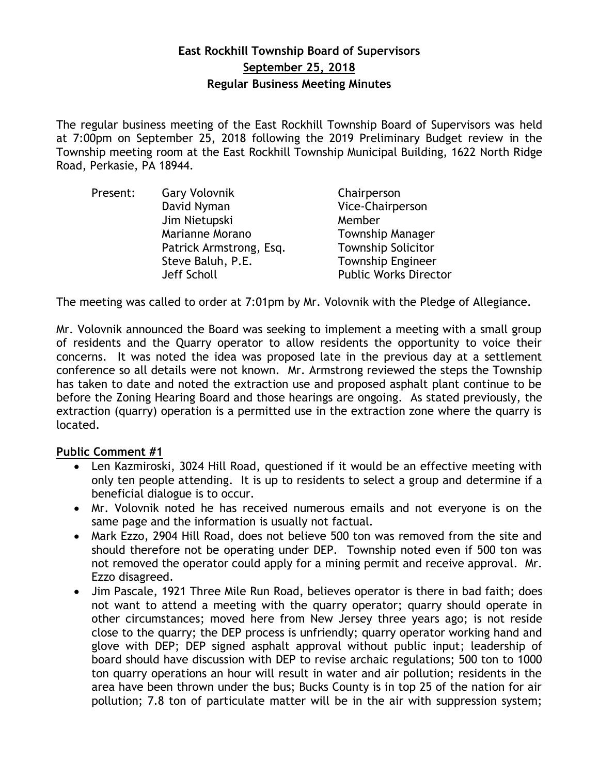# **East Rockhill Township Board of Supervisors September 25, 2018 Regular Business Meeting Minutes**

The regular business meeting of the East Rockhill Township Board of Supervisors was held at 7:00pm on September 25, 2018 following the 2019 Preliminary Budget review in the Township meeting room at the East Rockhill Township Municipal Building, 1622 North Ridge Road, Perkasie, PA 18944.

| Present: | <b>Gary Volovnik</b>    | Chairperson                  |
|----------|-------------------------|------------------------------|
|          | David Nyman             | Vice-Chairperson             |
|          | Jim Nietupski           | Member                       |
|          | Marianne Morano         | <b>Township Manager</b>      |
|          | Patrick Armstrong, Esq. | <b>Township Solicitor</b>    |
|          | Steve Baluh, P.E.       | <b>Township Engineer</b>     |
|          | Jeff Scholl             | <b>Public Works Director</b> |

The meeting was called to order at 7:01pm by Mr. Volovnik with the Pledge of Allegiance.

Mr. Volovnik announced the Board was seeking to implement a meeting with a small group of residents and the Quarry operator to allow residents the opportunity to voice their concerns. It was noted the idea was proposed late in the previous day at a settlement conference so all details were not known. Mr. Armstrong reviewed the steps the Township has taken to date and noted the extraction use and proposed asphalt plant continue to be before the Zoning Hearing Board and those hearings are ongoing. As stated previously, the extraction (quarry) operation is a permitted use in the extraction zone where the quarry is located.

# **Public Comment #1**

- Len Kazmiroski, 3024 Hill Road, questioned if it would be an effective meeting with only ten people attending. It is up to residents to select a group and determine if a beneficial dialogue is to occur.
- Mr. Volovnik noted he has received numerous emails and not everyone is on the same page and the information is usually not factual.
- Mark Ezzo, 2904 Hill Road, does not believe 500 ton was removed from the site and should therefore not be operating under DEP. Township noted even if 500 ton was not removed the operator could apply for a mining permit and receive approval. Mr. Ezzo disagreed.
- Jim Pascale, 1921 Three Mile Run Road, believes operator is there in bad faith; does not want to attend a meeting with the quarry operator; quarry should operate in other circumstances; moved here from New Jersey three years ago; is not reside close to the quarry; the DEP process is unfriendly; quarry operator working hand and glove with DEP; DEP signed asphalt approval without public input; leadership of board should have discussion with DEP to revise archaic regulations; 500 ton to 1000 ton quarry operations an hour will result in water and air pollution; residents in the area have been thrown under the bus; Bucks County is in top 25 of the nation for air pollution; 7.8 ton of particulate matter will be in the air with suppression system;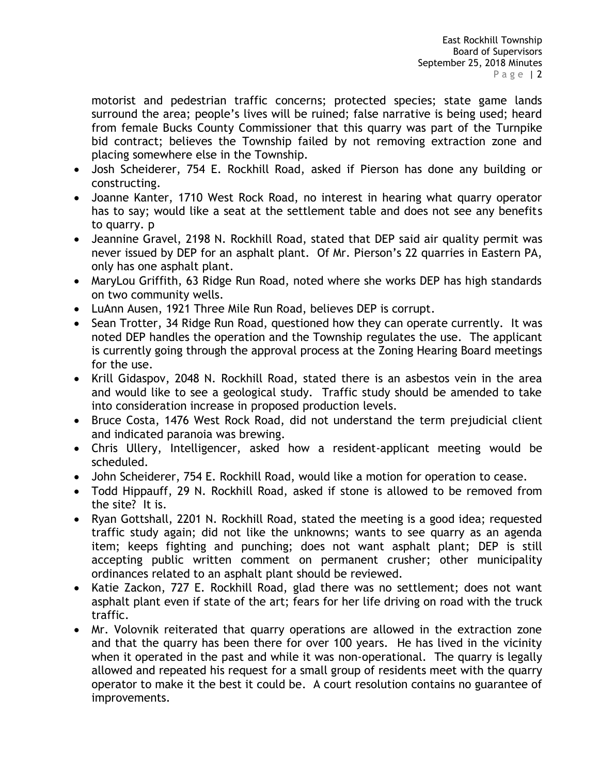motorist and pedestrian traffic concerns; protected species; state game lands surround the area; people's lives will be ruined; false narrative is being used; heard from female Bucks County Commissioner that this quarry was part of the Turnpike bid contract; believes the Township failed by not removing extraction zone and placing somewhere else in the Township.

- Josh Scheiderer, 754 E. Rockhill Road, asked if Pierson has done any building or constructing.
- Joanne Kanter, 1710 West Rock Road, no interest in hearing what quarry operator has to say; would like a seat at the settlement table and does not see any benefits to quarry. p
- Jeannine Gravel, 2198 N. Rockhill Road, stated that DEP said air quality permit was never issued by DEP for an asphalt plant. Of Mr. Pierson's 22 quarries in Eastern PA, only has one asphalt plant.
- MaryLou Griffith, 63 Ridge Run Road, noted where she works DEP has high standards on two community wells.
- LuAnn Ausen, 1921 Three Mile Run Road, believes DEP is corrupt.
- Sean Trotter, 34 Ridge Run Road, questioned how they can operate currently. It was noted DEP handles the operation and the Township regulates the use. The applicant is currently going through the approval process at the Zoning Hearing Board meetings for the use.
- Krill Gidaspov, 2048 N. Rockhill Road, stated there is an asbestos vein in the area and would like to see a geological study. Traffic study should be amended to take into consideration increase in proposed production levels.
- Bruce Costa, 1476 West Rock Road, did not understand the term prejudicial client and indicated paranoia was brewing.
- Chris Ullery, Intelligencer, asked how a resident-applicant meeting would be scheduled.
- John Scheiderer, 754 E. Rockhill Road, would like a motion for operation to cease.
- Todd Hippauff, 29 N. Rockhill Road, asked if stone is allowed to be removed from the site? It is.
- Ryan Gottshall, 2201 N. Rockhill Road, stated the meeting is a good idea; requested traffic study again; did not like the unknowns; wants to see quarry as an agenda item; keeps fighting and punching; does not want asphalt plant; DEP is still accepting public written comment on permanent crusher; other municipality ordinances related to an asphalt plant should be reviewed.
- Katie Zackon, 727 E. Rockhill Road, glad there was no settlement; does not want asphalt plant even if state of the art; fears for her life driving on road with the truck traffic.
- Mr. Volovnik reiterated that quarry operations are allowed in the extraction zone and that the quarry has been there for over 100 years. He has lived in the vicinity when it operated in the past and while it was non-operational. The quarry is legally allowed and repeated his request for a small group of residents meet with the quarry operator to make it the best it could be. A court resolution contains no guarantee of improvements.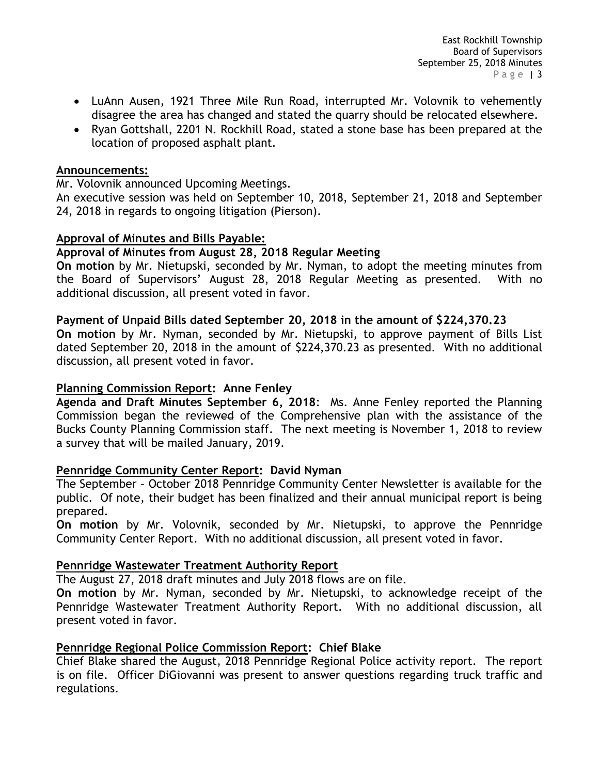- LuAnn Ausen, 1921 Three Mile Run Road, interrupted Mr. Volovnik to vehemently disagree the area has changed and stated the quarry should be relocated elsewhere.
- Ryan Gottshall, 2201 N. Rockhill Road, stated a stone base has been prepared at the location of proposed asphalt plant.

## **Announcements:**

Mr. Volovnik announced Upcoming Meetings.

An executive session was held on September 10, 2018, September 21, 2018 and September 24, 2018 in regards to ongoing litigation (Pierson).

# **Approval of Minutes and Bills Payable:**

## **Approval of Minutes from August 28, 2018 Regular Meeting**

**On motion** by Mr. Nietupski, seconded by Mr. Nyman, to adopt the meeting minutes from the Board of Supervisors' August 28, 2018 Regular Meeting as presented. With no additional discussion, all present voted in favor.

## **Payment of Unpaid Bills dated September 20, 2018 in the amount of \$224,370.23**

**On motion** by Mr. Nyman, seconded by Mr. Nietupski, to approve payment of Bills List dated September 20, 2018 in the amount of \$224,370.23 as presented. With no additional discussion, all present voted in favor.

#### **Planning Commission Report: Anne Fenley**

**Agenda and Draft Minutes September 6, 2018**: Ms. Anne Fenley reported the Planning Commission began the reviewed of the Comprehensive plan with the assistance of the Bucks County Planning Commission staff. The next meeting is November 1, 2018 to review a survey that will be mailed January, 2019.

# **Pennridge Community Center Report: David Nyman**

The September – October 2018 Pennridge Community Center Newsletter is available for the public. Of note, their budget has been finalized and their annual municipal report is being prepared.

**On motion** by Mr. Volovnik, seconded by Mr. Nietupski, to approve the Pennridge Community Center Report. With no additional discussion, all present voted in favor.

# **Pennridge Wastewater Treatment Authority Report**

The August 27, 2018 draft minutes and July 2018 flows are on file.

**On motion** by Mr. Nyman, seconded by Mr. Nietupski, to acknowledge receipt of the Pennridge Wastewater Treatment Authority Report. With no additional discussion, all present voted in favor.

# **Pennridge Regional Police Commission Report: Chief Blake**

Chief Blake shared the August, 2018 Pennridge Regional Police activity report. The report is on file. Officer DiGiovanni was present to answer questions regarding truck traffic and regulations.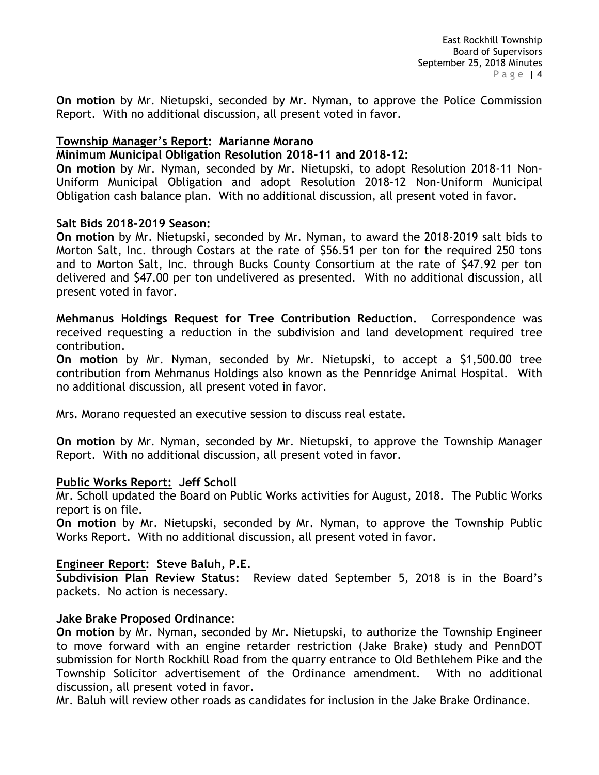**On motion** by Mr. Nietupski, seconded by Mr. Nyman, to approve the Police Commission Report. With no additional discussion, all present voted in favor.

# **Township Manager's Report: Marianne Morano**

## **Minimum Municipal Obligation Resolution 2018-11 and 2018-12:**

**On motion** by Mr. Nyman, seconded by Mr. Nietupski, to adopt Resolution 2018-11 Non-Uniform Municipal Obligation and adopt Resolution 2018-12 Non-Uniform Municipal Obligation cash balance plan. With no additional discussion, all present voted in favor.

## **Salt Bids 2018-2019 Season:**

**On motion** by Mr. Nietupski, seconded by Mr. Nyman, to award the 2018-2019 salt bids to Morton Salt, Inc. through Costars at the rate of \$56.51 per ton for the required 250 tons and to Morton Salt, Inc. through Bucks County Consortium at the rate of \$47.92 per ton delivered and \$47.00 per ton undelivered as presented. With no additional discussion, all present voted in favor.

**Mehmanus Holdings Request for Tree Contribution Reduction.** Correspondence was received requesting a reduction in the subdivision and land development required tree contribution.

**On motion** by Mr. Nyman, seconded by Mr. Nietupski, to accept a \$1,500.00 tree contribution from Mehmanus Holdings also known as the Pennridge Animal Hospital. With no additional discussion, all present voted in favor.

Mrs. Morano requested an executive session to discuss real estate.

**On motion** by Mr. Nyman, seconded by Mr. Nietupski, to approve the Township Manager Report. With no additional discussion, all present voted in favor.

#### **Public Works Report: Jeff Scholl**

Mr. Scholl updated the Board on Public Works activities for August, 2018. The Public Works report is on file.

**On motion** by Mr. Nietupski, seconded by Mr. Nyman, to approve the Township Public Works Report. With no additional discussion, all present voted in favor.

# **Engineer Report: Steve Baluh, P.E.**

**Subdivision Plan Review Status:** Review dated September 5, 2018 is in the Board's packets. No action is necessary.

#### **Jake Brake Proposed Ordinance**:

**On motion** by Mr. Nyman, seconded by Mr. Nietupski, to authorize the Township Engineer to move forward with an engine retarder restriction (Jake Brake) study and PennDOT submission for North Rockhill Road from the quarry entrance to Old Bethlehem Pike and the Township Solicitor advertisement of the Ordinance amendment. With no additional discussion, all present voted in favor.

Mr. Baluh will review other roads as candidates for inclusion in the Jake Brake Ordinance.